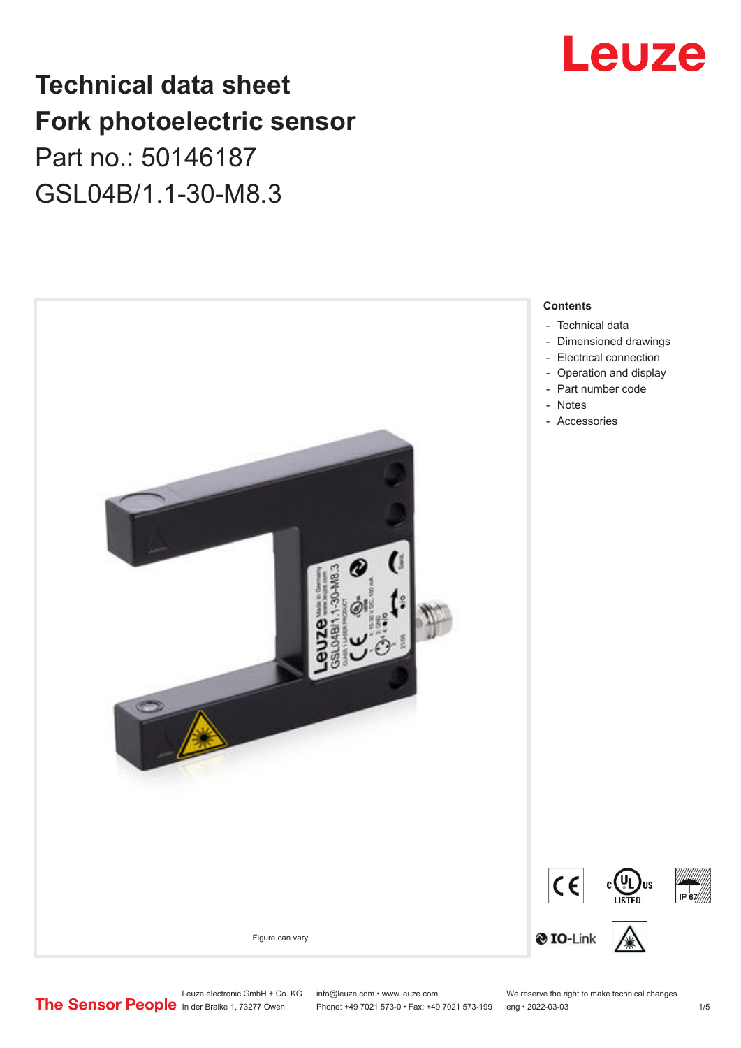## **Technical data sheet Fork photoelectric sensor** Part no.: 50146187 GSL04B/1.1-30-M8.3



# Leuze

Leuze electronic GmbH + Co. KG info@leuze.com • www.leuze.com We reserve the right to make technical changes<br>
The Sensor People in der Braike 1, 73277 Owen Phone: +49 7021 573-0 • Fax: +49 7021 573-199 eng • 2022-03-03

Phone: +49 7021 573-0 • Fax: +49 7021 573-199 eng • 2022-03-03 1 75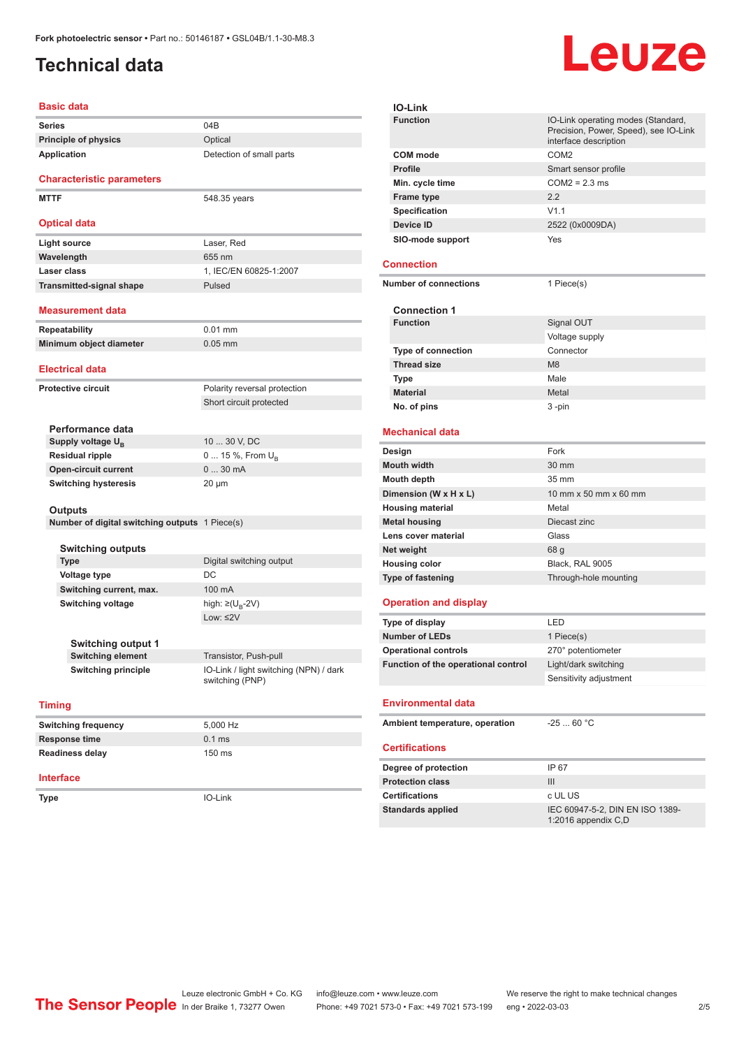### <span id="page-1-0"></span>**Technical data**

| <b>Basic data</b>                              |                                                           |
|------------------------------------------------|-----------------------------------------------------------|
| <b>Series</b>                                  | 04B                                                       |
| <b>Principle of physics</b>                    | Optical                                                   |
| Application                                    | Detection of small parts                                  |
| <b>Characteristic parameters</b>               |                                                           |
| <b>MTTF</b>                                    | 548.35 years                                              |
| <b>Optical data</b>                            |                                                           |
| <b>Light source</b>                            | Laser, Red                                                |
| Wavelength                                     | 655 nm                                                    |
| Laser class                                    | 1, IEC/EN 60825-1:2007                                    |
| <b>Transmitted-signal shape</b>                | Pulsed                                                    |
| <b>Measurement data</b>                        |                                                           |
| <b>Repeatability</b>                           | $0.01$ mm                                                 |
| Minimum object diameter                        | $0.05$ mm                                                 |
| <b>Electrical data</b>                         |                                                           |
| <b>Protective circuit</b>                      | Polarity reversal protection                              |
|                                                | Short circuit protected                                   |
|                                                |                                                           |
| Performance data                               |                                                           |
| Supply voltage U <sub>B</sub>                  | 10  30 V, DC                                              |
| <b>Residual ripple</b>                         | 0  15 %, From $U_{\rm B}$                                 |
| <b>Open-circuit current</b>                    | 030mA                                                     |
| <b>Switching hysteresis</b>                    | $20 \mu m$                                                |
|                                                |                                                           |
| Outputs                                        |                                                           |
| Number of digital switching outputs 1 Piece(s) |                                                           |
| <b>Switching outputs</b>                       |                                                           |
| <b>Type</b>                                    | Digital switching output                                  |
| <b>Voltage type</b>                            | DC                                                        |
| Switching current, max.                        | 100 mA                                                    |
| <b>Switching voltage</b>                       | high: ≥( $U_{\text{B}}$ -2V)                              |
|                                                | Low: $\leq$ 2V                                            |
|                                                |                                                           |
| Switching output 1                             |                                                           |
| <b>Switching element</b>                       | Transistor, Push-pull                                     |
| <b>Switching principle</b>                     | IO-Link / light switching (NPN) / dark<br>switching (PNP) |
| <b>Timing</b>                                  |                                                           |
| <b>Switching frequency</b>                     | 5,000 Hz                                                  |
| Response time                                  | $0.1$ ms                                                  |
| <b>Readiness delay</b>                         | 150 ms                                                    |
| <b>Interface</b>                               |                                                           |
| Type                                           | IO-Link                                                   |
|                                                |                                                           |



#### **Environmental data**

| Ambient temperature, operation | $-2560 °C$                                             |  |
|--------------------------------|--------------------------------------------------------|--|
| <b>Certifications</b>          |                                                        |  |
| Degree of protection           | IP 67                                                  |  |
| <b>Protection class</b>        | Ш                                                      |  |
| <b>Certifications</b>          | c UL US                                                |  |
| <b>Standards applied</b>       | IEC 60947-5-2, DIN EN ISO 1389-<br>1:2016 appendix C,D |  |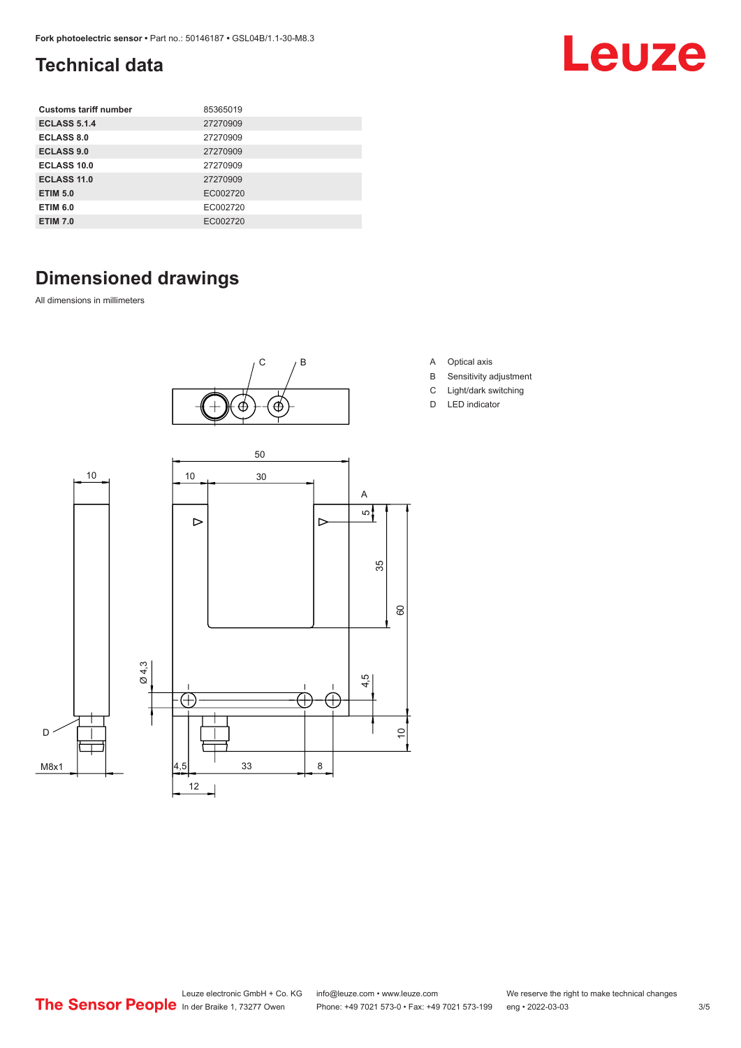### <span id="page-2-0"></span>**Technical data**

| <b>Customs tariff number</b> | 85365019 |
|------------------------------|----------|
| <b>ECLASS 5.1.4</b>          | 27270909 |
| ECLASS 8.0                   | 27270909 |
| <b>ECLASS 9.0</b>            | 27270909 |
| ECLASS 10.0                  | 27270909 |
| ECLASS 11.0                  | 27270909 |
| <b>ETIM 5.0</b>              | EC002720 |
| <b>ETIM 6.0</b>              | EC002720 |
| <b>ETIM 7.0</b>              | EC002720 |

### **Dimensioned drawings**

All dimensions in millimeters



- A Optical axis
- B Sensitivity adjustment

Leuze

- C Light/dark switching
- D LED indicator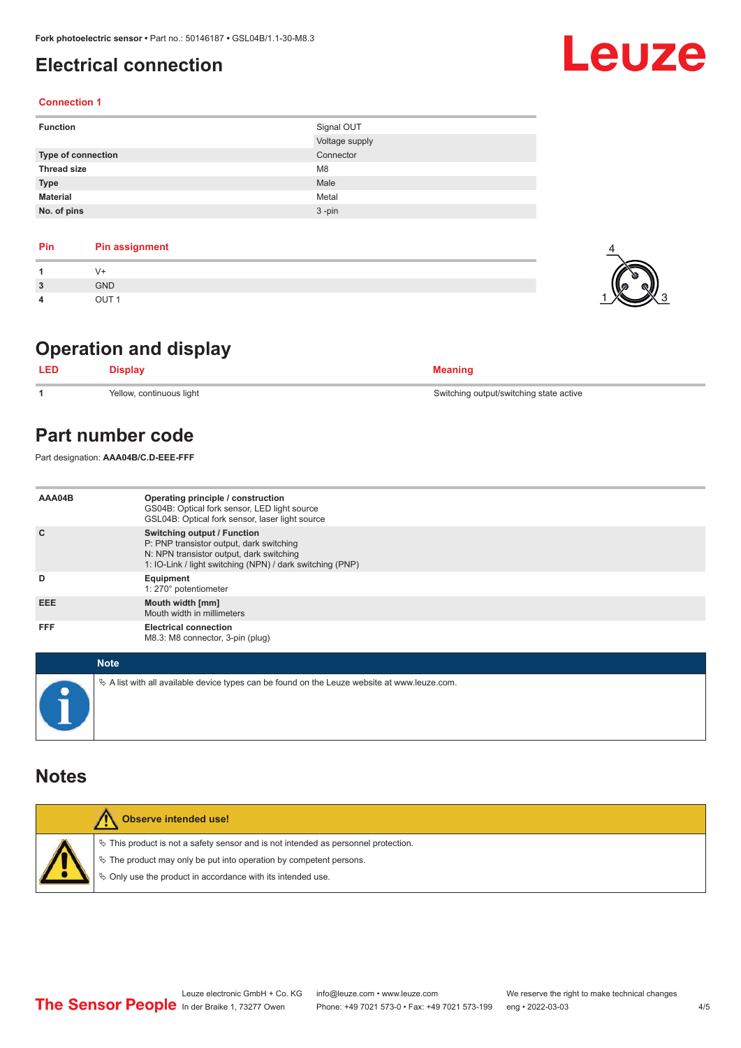### <span id="page-3-0"></span>**Electrical connection**

#### **Connection 1**

| <b>Function</b>           | Signal OUT     |
|---------------------------|----------------|
|                           | Voltage supply |
| <b>Type of connection</b> | Connector      |
| <b>Thread size</b>        | M <sub>8</sub> |
| <b>Type</b>               | Male           |
| <b>Material</b>           | Metal          |
| No. of pins               | $3 - pin$      |

| Pin | <b>Pin assignment</b> |
|-----|-----------------------|
|     | V+                    |
| 3   | <b>GND</b>            |
| 4   | OUT <sub>1</sub>      |

### **Operation and display**

| <b>LED</b> | Display                  | <b>Meaning</b>                          |
|------------|--------------------------|-----------------------------------------|
|            | Yellow, continuous light | Switching output/switching state active |

### **Part number code**

Part designation: **AAA04B/C.D-EEE-FFF**

| AAA04B     | Operating principle / construction<br>GS04B: Optical fork sensor, LED light source<br>GSL04B: Optical fork sensor, laser light source                                                   |
|------------|-----------------------------------------------------------------------------------------------------------------------------------------------------------------------------------------|
| C          | <b>Switching output / Function</b><br>P: PNP transistor output, dark switching<br>N: NPN transistor output, dark switching<br>1: IO-Link / light switching (NPN) / dark switching (PNP) |
| D          | Equipment<br>1: 270° potentiometer                                                                                                                                                      |
| <b>EEE</b> | Mouth width [mm]<br>Mouth width in millimeters                                                                                                                                          |
| <b>FFF</b> | <b>Electrical connection</b><br>M8.3: M8 connector, 3-pin (plug)                                                                                                                        |

| <b>Note</b>                                                                                  |
|----------------------------------------------------------------------------------------------|
| ↓ A list with all available device types can be found on the Leuze website at www.leuze.com. |

### **Notes**

|  | <b>Observe intended use!</b>                                                          |
|--|---------------------------------------------------------------------------------------|
|  | $\%$ This product is not a safety sensor and is not intended as personnel protection. |
|  | § The product may only be put into operation by competent persons.                    |
|  | ♦ Only use the product in accordance with its intended use.                           |
|  |                                                                                       |



 $1$   $\times$  3